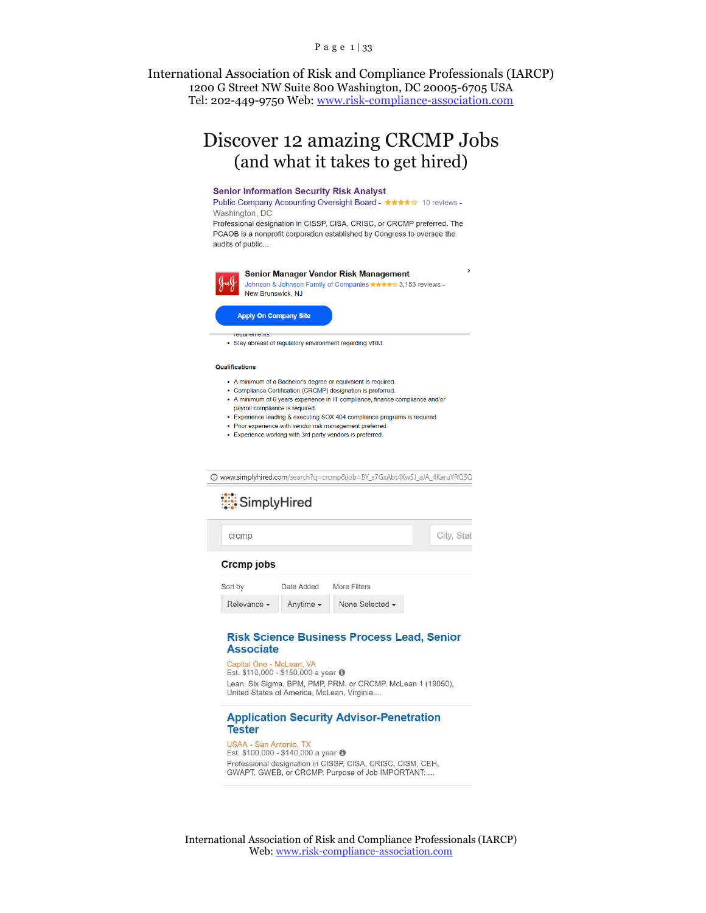#### P a g e 1 | 33

International Association of Risk and Compliance Professionals (IARCP) 1200 G Street NW Suite 800 Washington, DC 20005-6705 USA Tel: 202-449-9750 Web: [www.risk-compliance-association.com](http://www.risk-compliance-association.com/)

# Discover 12 amazing CRCMP Jobs (and what it takes to get hired)

#### **Senior Information Security Risk Analyst**

Public Company Accounting Oversight Board - ★★★★☆ 10 reviews -Washington, DC

Professional designation in CISSP, CISA, CRISC, or CRCMP preferred. The PCAOB is a nonprofit corporation established by Congress to oversee the audits of public...



#### Senior Manager Vendor Risk Management Johnson & Johnson Family of Companies ★★★★☆ 3,153 reviews -

New Brunswick, NJ

#### **Apply On Company Site**

• Stay abreast of regulatory environment regarding VRM.

#### Qualifications

- A minimum of a Bachelor's degree or equivalent is required.
- · Compliance Certification (CRCMP) designation is preferred.
- A minimum of 6 years experience in IT compliance, finance compliance and/or
- payroll compliance is required.
- Experience leading & executing SOX 404 compliance programs is required.
- Prior experience with vendor risk management preferred. • Experience working with 3rd party vendors is preferred.
- 

@ www.simplyhired.com/search?q=crcmp&job=BY\_s7GxAbt4KwSJ\_aJA\_4KaruYRQSQ

# SimplyHired

| crcmp             |                               |                 | City, Stat |
|-------------------|-------------------------------|-----------------|------------|
| <b>Crcmp</b> jobs |                               |                 |            |
| Sort by           | Date Added                    | More Filters    |            |
| Relevance -       | Anytime $\blacktriangleright$ | None Selected - |            |

#### **Risk Science Business Process Lead, Senior Associate**

Capital One - McLean, VA Est. \$110,000 - \$150,000 a year <sup>O</sup> Lean, Six Sigma, BPM, PMP, PRM, or CRCMP. McLean 1 (19050), United States of America, McLean, Virginia..

#### **Application Security Advisor-Penetration Tester**

USAA - San Antonio, TX Est. \$100,000 - \$140,000 a year ● Professional designation in CISSP, CISA, CRISC, CISM, CEH, GWAPT, GWEB, or CRCMP. Purpose of Job IMPORTANT.....

International Association of Risk and Compliance Professionals (IARCP) Web[: www.risk-compliance-association.com](http://www.risk-compliance-association.com/)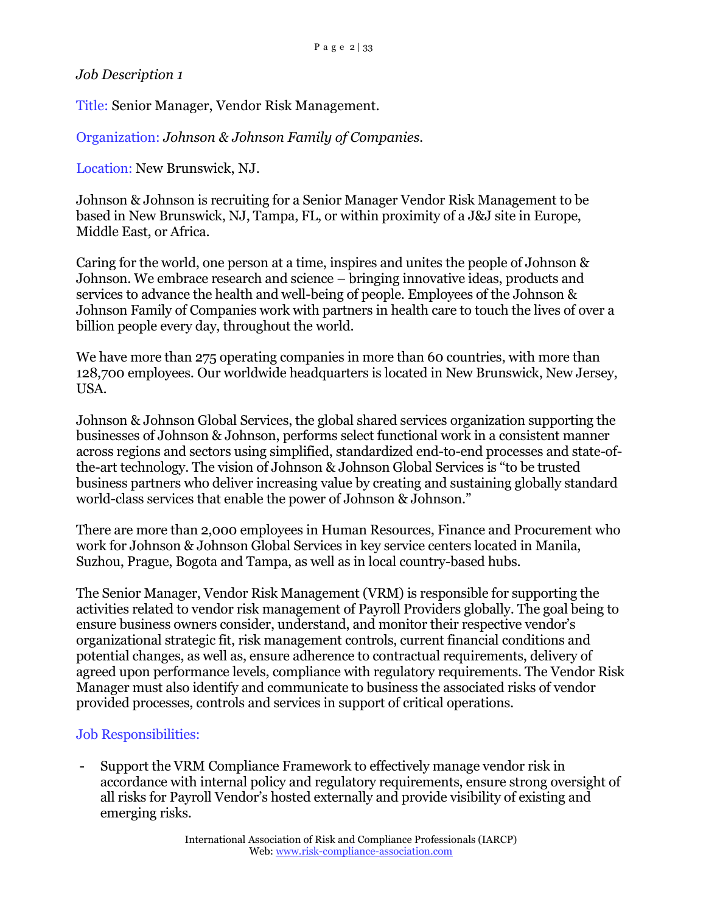Title: Senior Manager, Vendor Risk Management.

Organization: *Johnson & Johnson Family of Companies.*

Location: New Brunswick, NJ.

Johnson & Johnson is recruiting for a Senior Manager Vendor Risk Management to be based in New Brunswick, NJ, Tampa, FL, or within proximity of a J&J site in Europe, Middle East, or Africa.

Caring for the world, one person at a time, inspires and unites the people of Johnson & Johnson. We embrace research and science – bringing innovative ideas, products and services to advance the health and well-being of people. Employees of the Johnson & Johnson Family of Companies work with partners in health care to touch the lives of over a billion people every day, throughout the world.

We have more than 275 operating companies in more than 60 countries, with more than 128,700 employees. Our worldwide headquarters is located in New Brunswick, New Jersey, USA.

Johnson & Johnson Global Services, the global shared services organization supporting the businesses of Johnson & Johnson, performs select functional work in a consistent manner across regions and sectors using simplified, standardized end-to-end processes and state-ofthe-art technology. The vision of Johnson & Johnson Global Services is "to be trusted business partners who deliver increasing value by creating and sustaining globally standard world-class services that enable the power of Johnson & Johnson."

There are more than 2,000 employees in Human Resources, Finance and Procurement who work for Johnson & Johnson Global Services in key service centers located in Manila, Suzhou, Prague, Bogota and Tampa, as well as in local country-based hubs.

The Senior Manager, Vendor Risk Management (VRM) is responsible for supporting the activities related to vendor risk management of Payroll Providers globally. The goal being to ensure business owners consider, understand, and monitor their respective vendor's organizational strategic fit, risk management controls, current financial conditions and potential changes, as well as, ensure adherence to contractual requirements, delivery of agreed upon performance levels, compliance with regulatory requirements. The Vendor Risk Manager must also identify and communicate to business the associated risks of vendor provided processes, controls and services in support of critical operations.

## Job Responsibilities:

- Support the VRM Compliance Framework to effectively manage vendor risk in accordance with internal policy and regulatory requirements, ensure strong oversight of all risks for Payroll Vendor's hosted externally and provide visibility of existing and emerging risks.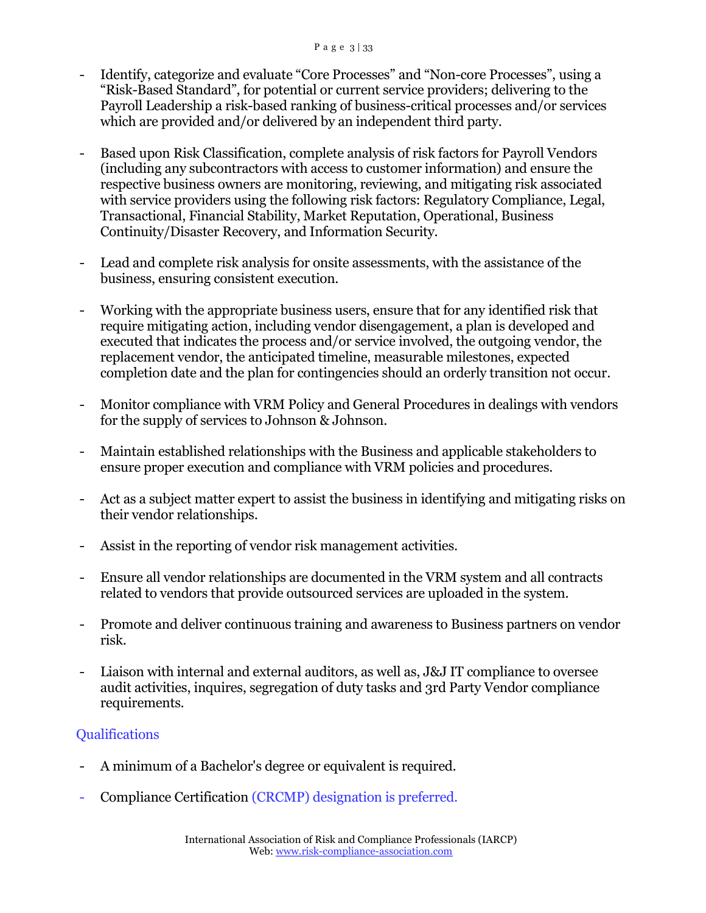- Identify, categorize and evaluate "Core Processes" and "Non-core Processes", using a "Risk-Based Standard", for potential or current service providers; delivering to the Payroll Leadership a risk-based ranking of business-critical processes and/or services which are provided and/or delivered by an independent third party.
- Based upon Risk Classification, complete analysis of risk factors for Payroll Vendors (including any subcontractors with access to customer information) and ensure the respective business owners are monitoring, reviewing, and mitigating risk associated with service providers using the following risk factors: Regulatory Compliance, Legal, Transactional, Financial Stability, Market Reputation, Operational, Business Continuity/Disaster Recovery, and Information Security.
- Lead and complete risk analysis for onsite assessments, with the assistance of the business, ensuring consistent execution.
- Working with the appropriate business users, ensure that for any identified risk that require mitigating action, including vendor disengagement, a plan is developed and executed that indicates the process and/or service involved, the outgoing vendor, the replacement vendor, the anticipated timeline, measurable milestones, expected completion date and the plan for contingencies should an orderly transition not occur.
- Monitor compliance with VRM Policy and General Procedures in dealings with vendors for the supply of services to Johnson & Johnson.
- Maintain established relationships with the Business and applicable stakeholders to ensure proper execution and compliance with VRM policies and procedures.
- Act as a subject matter expert to assist the business in identifying and mitigating risks on their vendor relationships.
- Assist in the reporting of vendor risk management activities.
- Ensure all vendor relationships are documented in the VRM system and all contracts related to vendors that provide outsourced services are uploaded in the system.
- Promote and deliver continuous training and awareness to Business partners on vendor risk.
- Liaison with internal and external auditors, as well as, J&J IT compliance to oversee audit activities, inquires, segregation of duty tasks and 3rd Party Vendor compliance requirements.

# **Qualifications**

- A minimum of a Bachelor's degree or equivalent is required.
- Compliance Certification (CRCMP) designation is preferred.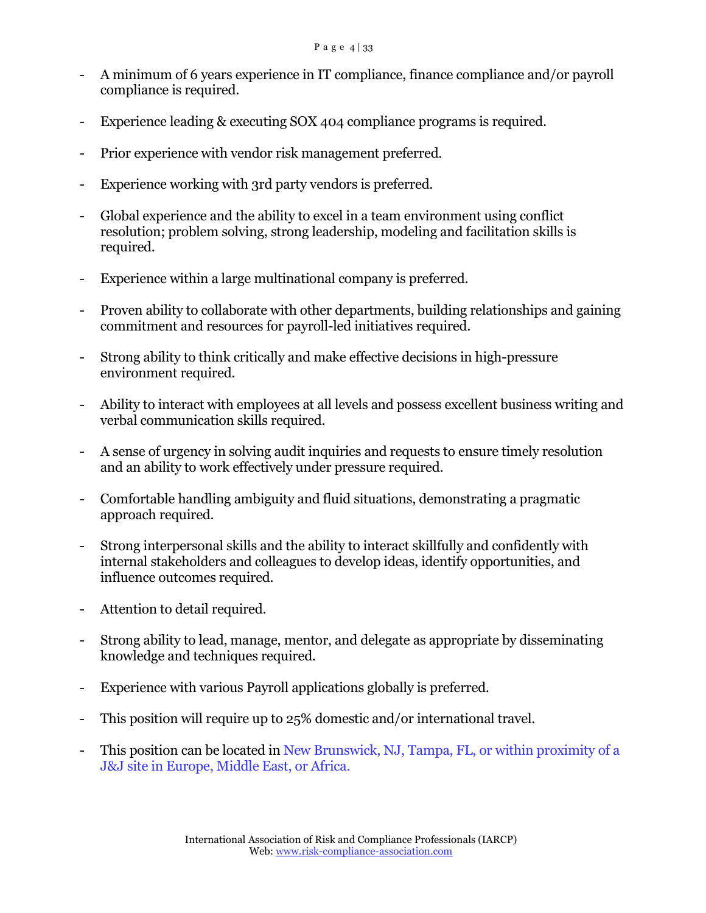- A minimum of 6 years experience in IT compliance, finance compliance and/or payroll compliance is required.
- Experience leading & executing SOX 404 compliance programs is required.
- Prior experience with vendor risk management preferred.
- Experience working with 3rd party vendors is preferred.
- Global experience and the ability to excel in a team environment using conflict resolution; problem solving, strong leadership, modeling and facilitation skills is required.
- Experience within a large multinational company is preferred.
- Proven ability to collaborate with other departments, building relationships and gaining commitment and resources for payroll-led initiatives required.
- Strong ability to think critically and make effective decisions in high-pressure environment required.
- Ability to interact with employees at all levels and possess excellent business writing and verbal communication skills required.
- A sense of urgency in solving audit inquiries and requests to ensure timely resolution and an ability to work effectively under pressure required.
- Comfortable handling ambiguity and fluid situations, demonstrating a pragmatic approach required.
- Strong interpersonal skills and the ability to interact skillfully and confidently with internal stakeholders and colleagues to develop ideas, identify opportunities, and influence outcomes required.
- Attention to detail required.
- Strong ability to lead, manage, mentor, and delegate as appropriate by disseminating knowledge and techniques required.
- Experience with various Payroll applications globally is preferred.
- This position will require up to 25% domestic and/or international travel.
- This position can be located in New Brunswick, NJ, Tampa, FL, or within proximity of a J&J site in Europe, Middle East, or Africa.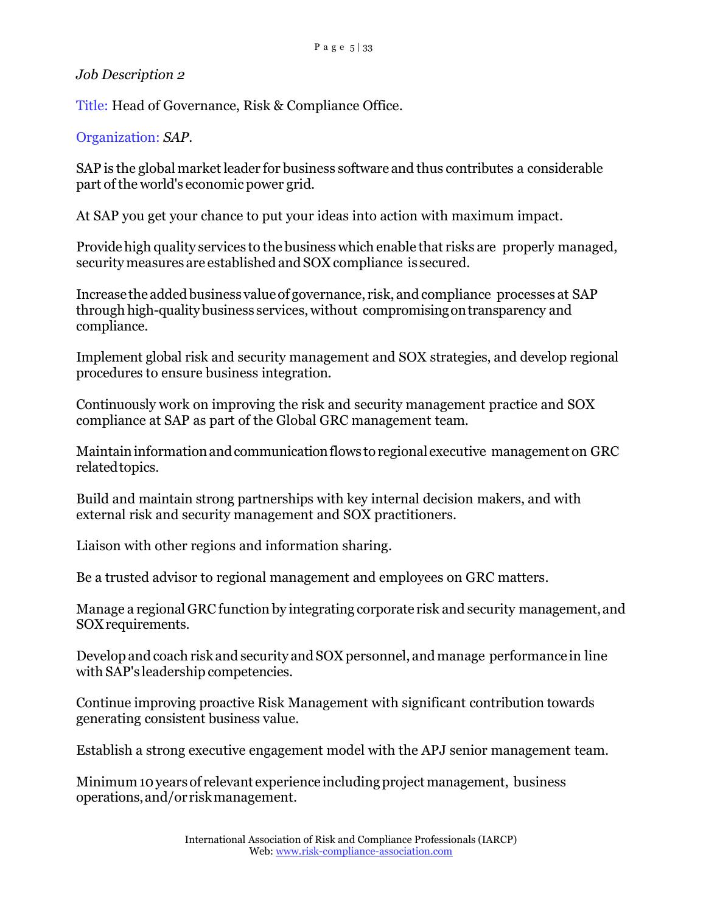Title: Head of Governance, Risk & Compliance Office.

Organization: *SAP.*

SAP is the global market leader for business software and thus contributes a considerable part of the world's economic power grid.

At SAP you get your chance to put your ideas into action with maximum impact.

Providehigh quality services to the business which enable that risks are properly managed, security measures are established and SOX compliance is secured.

Increasethe addedbusiness valueof governance, risk, and compliance processes at SAP through high-qualitybusiness services, without compromisingontransparency and compliance.

Implement global risk and security management and SOX strategies, and develop regional procedures to ensure business integration.

Continuously work on improving the risk and security management practice and SOX compliance at SAP as part of the Global GRC management team.

Maintaininformationandcommunicationflows to regional executive management on GRC relatedtopics.

Build and maintain strong partnerships with key internal decision makers, and with external risk and security management and SOX practitioners.

Liaison with other regions and information sharing.

Be a trusted advisor to regional management and employees on GRC matters.

Manage a regional GRC function by integrating corporate risk and security management, and SOXrequirements.

Develop and coach risk and security and SOX personnel, and manage performance in line with SAP's leadership competencies.

Continue improving proactive Risk Management with significant contribution towards generating consistent business value.

Establish a strong executive engagement model with the APJ senior management team.

Minimum 10 years of relevant experience including project management, business operations,and/or riskmanagement.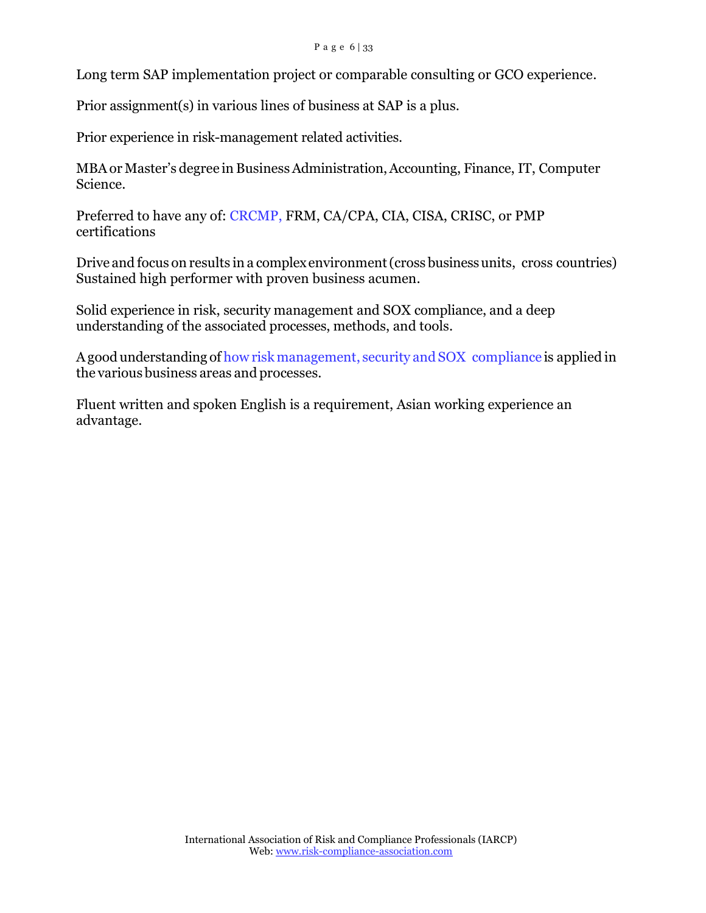Long term SAP implementation project or comparable consulting or GCO experience.

Prior assignment(s) in various lines of business at SAP is a plus.

Prior experience in risk-management related activities.

MBAor Master's degree in BusinessAdministration,Accounting, Finance, IT, Computer Science.

Preferred to have any of: CRCMP, FRM, CA/CPA, CIA, CISA, CRISC, or PMP certifications

Drive and focus on results in a complexenvironment(cross businessunits, cross countries) Sustained high performer with proven business acumen.

Solid experience in risk, security management and SOX compliance, and a deep understanding of the associated processes, methods, and tools.

Agood understanding of how risk management, security and SOX compliance is applied in the various business areas and processes.

Fluent written and spoken English is a requirement, Asian working experience an advantage.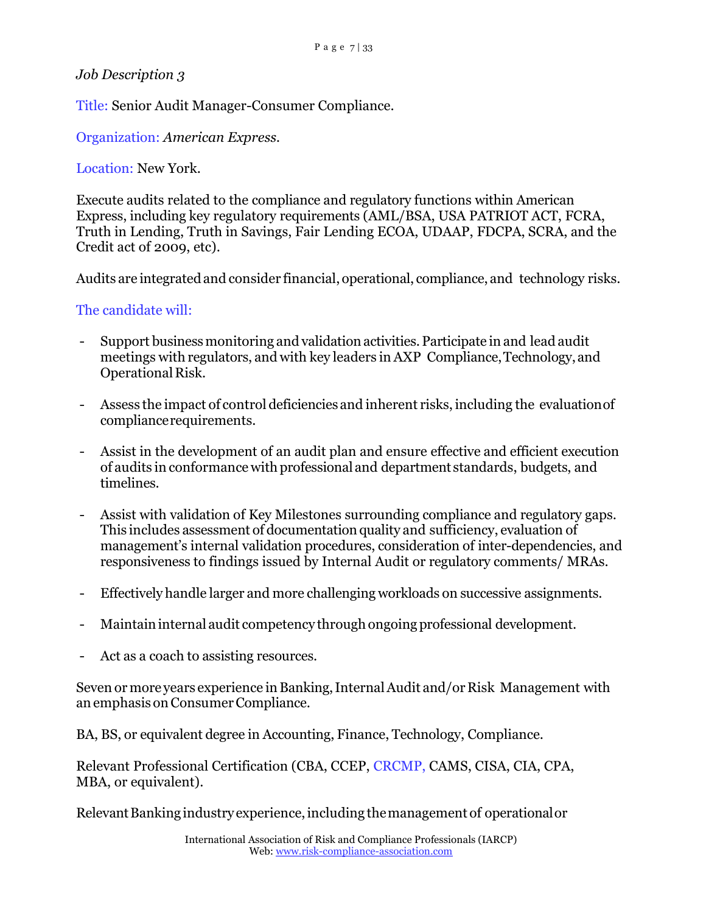Title: Senior Audit Manager-Consumer Compliance.

Organization: *American Express.*

Location: New York.

Execute audits related to the compliance and regulatory functions within American Express, including key regulatory requirements (AML/BSA, USA PATRIOT ACT, FCRA, Truth in Lending, Truth in Savings, Fair Lending ECOA, UDAAP, FDCPA, SCRA, and the Credit act of 2009, etc).

Audits are integrated and consider financial, operational, compliance, and technology risks.

## The candidate will:

- Support businessmonitoring and validation activities.Participate in and lead audit meetings with regulators, and with key leaders in AXP Compliance,Technology,and Operational Risk.
- Assess the impact of control deficiencies and inherent risks, including the evaluationof compliancerequirements.
- Assist in the development of an audit plan and ensure effective and efficient execution of audits in conformance withprofessional and department standards, budgets, and timelines.
- Assist with validation of Key Milestones surrounding compliance and regulatory gaps. This includes assessment of documentationquality and sufficiency, evaluation of management's internal validation procedures, consideration of inter-dependencies, and responsiveness to findings issued by Internal Audit or regulatory comments/ MRAs.
- Effectively handle larger and more challenging workloads on successive assignments.
- Maintain internal audit competency through ongoing professional development.
- Act as a coach to assisting resources.

Seven or more years experience in Banking, Internal Audit and/or Risk Management with an emphasis onConsumerCompliance.

BA, BS, or equivalent degree in Accounting, Finance, Technology, Compliance.

Relevant Professional Certification (CBA, CCEP, CRCMP, CAMS, CISA, CIA, CPA, MBA, or equivalent).

Relevant Banking industry experience, including the management of operational or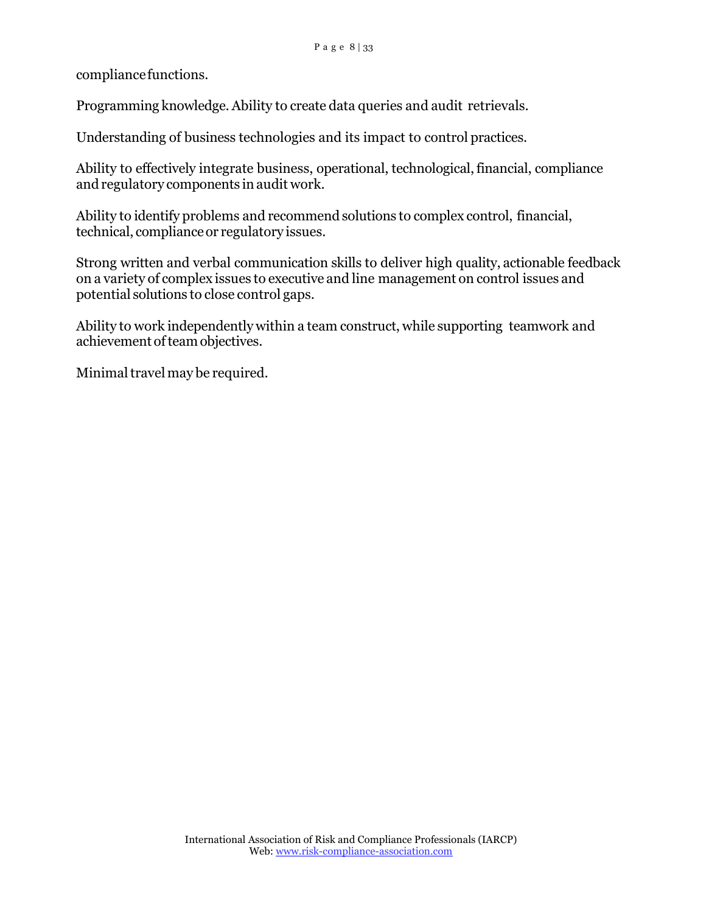compliancefunctions.

Programming knowledge. Ability to create data queries and audit retrievals.

Understanding of business technologies and its impact to control practices.

Ability to effectively integrate business, operational, technological, financial, compliance and regulatory components in audit work.

Ability to identify problems and recommend solutions to complex control, financial, technical, complianceor regulatory issues.

Strong written and verbal communication skills to deliver high quality, actionable feedback on a variety of complex issues to executive and line management on control issues and potential solutions to close control gaps.

Ability to work independently within a team construct, while supporting teamwork and achievement of team objectives.

Minimal travel may be required.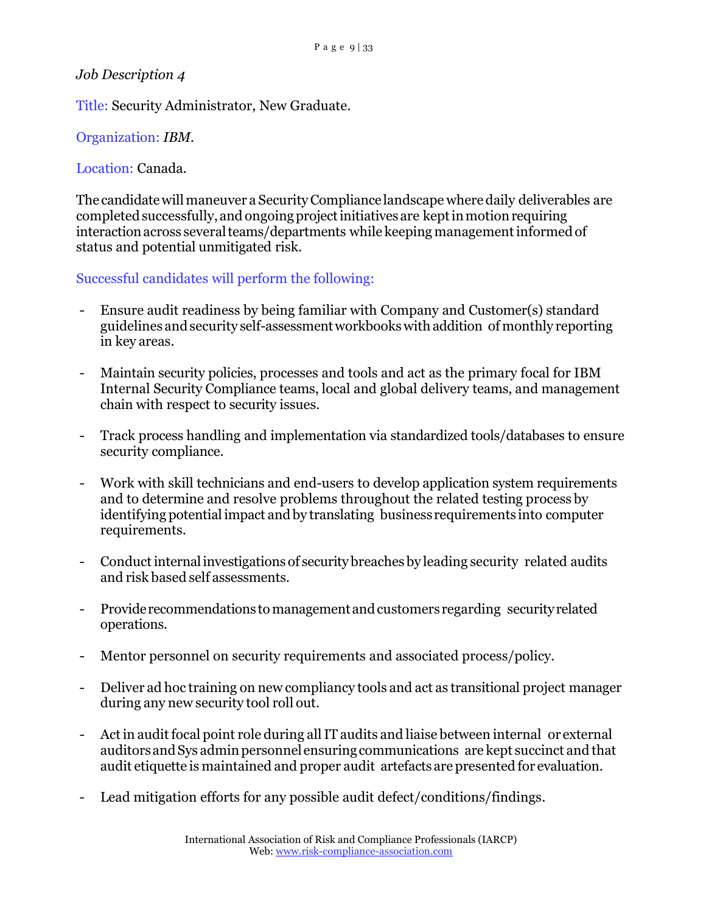Title: Security Administrator, New Graduate.

Organization: *IBM.*

Location: Canada.

The candidate will maneuver a Security Compliance landscape where daily deliverables are completed successfully, and ongoing project initiatives are kept in motion requiring interaction across several teams/departments while keeping management informed of status and potential unmitigated risk.

Successful candidates will perform the following:

- Ensure audit readiness by being familiar with Company and Customer(s) standard guidelines andsecurity self-assessmentworkbookswithaddition of monthly reporting in key areas.
- Maintain security policies, processes and tools and act as the primary focal for IBM Internal Security Compliance teams, local and global delivery teams, and management chain with respect to security issues.
- Track process handling and implementation via standardized tools/databases to ensure security compliance.
- Work with skill technicians and end-users to develop application system requirements and to determine and resolve problems throughout the related testing process by identifying potential impact andby translating business requirements into computer requirements.
- Conduct internal investigations of security breaches by leading security related audits and risk based self assessments.
- Provide recommendations to management and customers regarding security related operations.
- Mentor personnel on security requirements and associated process/policy.
- Deliver ad hoc training on new compliancy tools and act as transitional project manager during any new security tool roll out.
- Act in audit focal point role during all IT audits and liaise between internal or external auditorsandSys adminpersonnel ensuringcommunications are kept succinct and that audit etiquette is maintained and proper audit artefacts are presented for evaluation.
- Lead mitigation efforts for any possible audit defect/conditions/findings.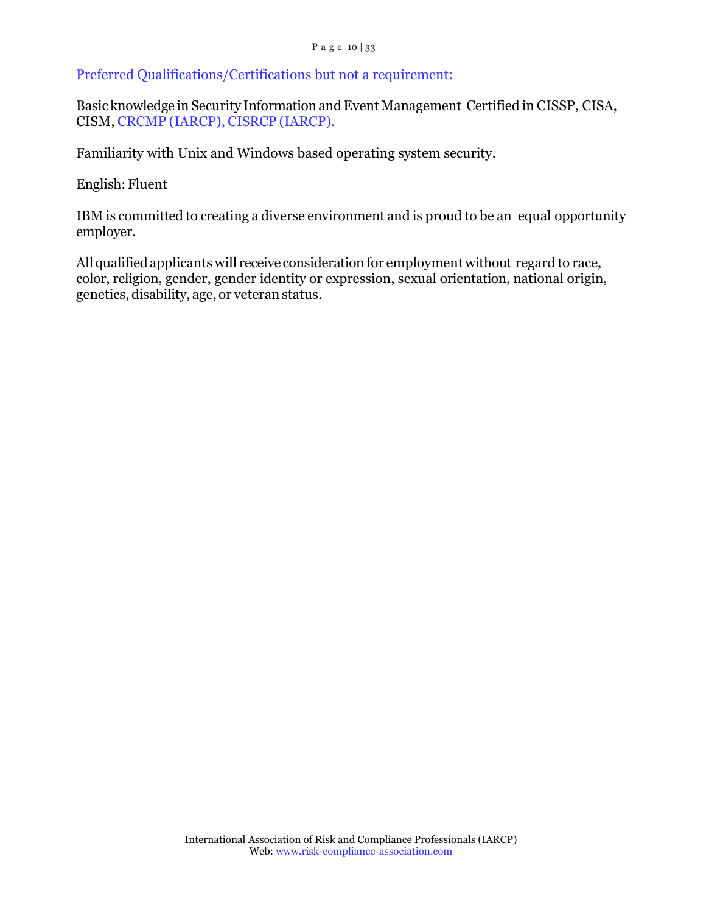Preferred Qualifications/Certifications but not a requirement:

Basic knowledge in Security InformationandEvent Management Certified in CISSP, CISA, CISM, CRCMP (IARCP), CISRCP (IARCP).

Familiarity with Unix and Windows based operating system security.

English: Fluent

IBM is committed to creating a diverse environment and is proud to be an equal opportunity employer.

All qualified applicants will receive consideration for employment without regard to race, color, religion, gender, gender identity or expression, sexual orientation, national origin, genetics, disability, age, or veteran status.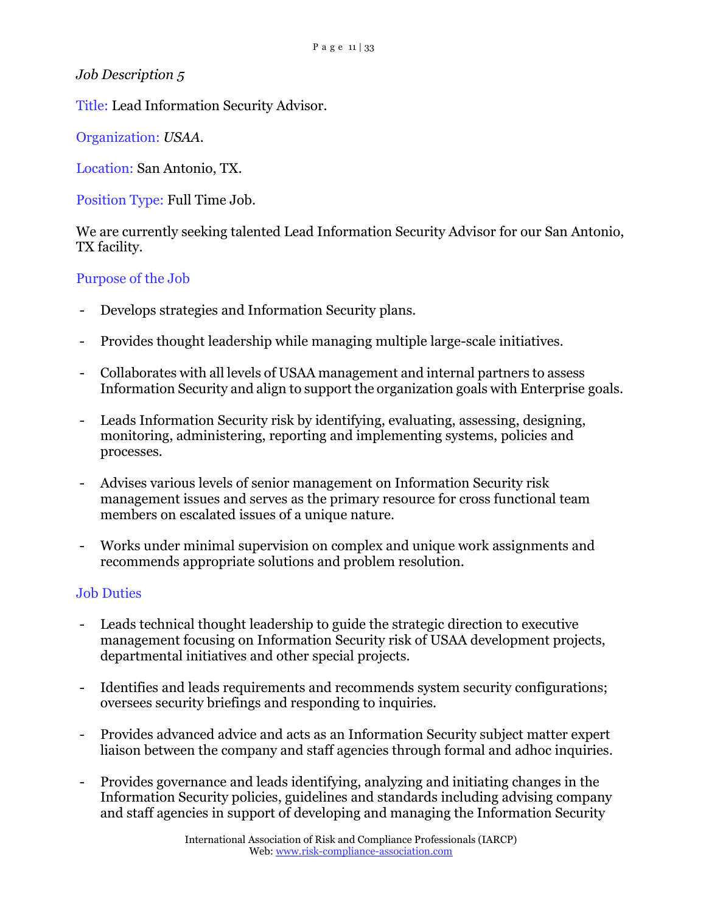Title: Lead Information Security Advisor.

Organization: *USAA.*

Location: San Antonio, TX.

Position Type: Full Time Job.

We are currently seeking talented Lead Information Security Advisor for our San Antonio, TX facility.

## Purpose of the Job

- Develops strategies and Information Security plans.
- Provides thought leadership while managing multiple large-scale initiatives.
- Collaborates with all levels of USAA management and internal partners to assess Information Security and align to support the organization goals with Enterprise goals.
- Leads Information Security risk by identifying, evaluating, assessing, designing, monitoring, administering, reporting and implementing systems, policies and processes.
- Advises various levels of senior management on Information Security risk management issues and serves as the primary resource for cross functional team members on escalated issues of a unique nature.
- Works under minimal supervision on complex and unique work assignments and recommends appropriate solutions and problem resolution.

### Job Duties

- Leads technical thought leadership to guide the strategic direction to executive management focusing on Information Security risk of USAA development projects, departmental initiatives and other special projects.
- Identifies and leads requirements and recommends system security configurations; oversees security briefings and responding to inquiries.
- Provides advanced advice and acts as an Information Security subject matter expert liaison between the company and staff agencies through formal and adhoc inquiries.
- Provides governance and leads identifying, analyzing and initiating changes in the Information Security policies, guidelines and standards including advising company and staff agencies in support of developing and managing the Information Security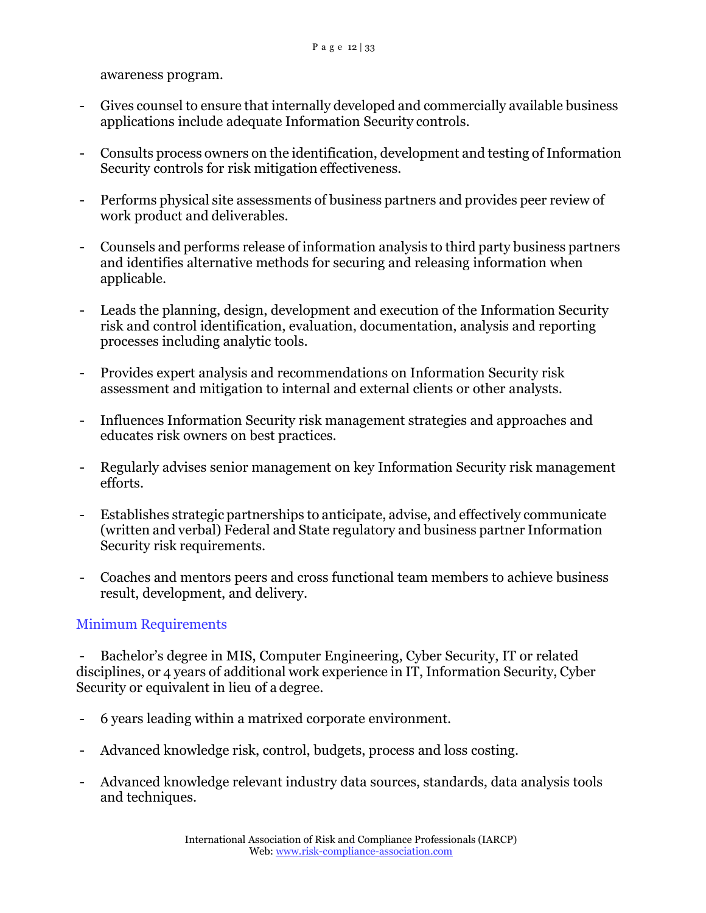awareness program.

- Gives counsel to ensure that internally developed and commercially available business applications include adequate Information Security controls.
- Consults process owners on the identification, development and testing of Information Security controls for risk mitigation effectiveness.
- Performs physical site assessments of business partners and provides peer review of work product and deliverables.
- Counsels and performs release of information analysis to third party business partners and identifies alternative methods for securing and releasing information when applicable.
- Leads the planning, design, development and execution of the Information Security risk and control identification, evaluation, documentation, analysis and reporting processes including analytic tools.
- Provides expert analysis and recommendations on Information Security risk assessment and mitigation to internal and external clients or other analysts.
- Influences Information Security risk management strategies and approaches and educates risk owners on best practices.
- Regularly advises senior management on key Information Security risk management efforts.
- Establishes strategic partnerships to anticipate, advise, and effectively communicate (written and verbal) Federal and State regulatory and business partner Information Security risk requirements.
- Coaches and mentors peers and cross functional team members to achieve business result, development, and delivery.

# Minimum Requirements

- Bachelor's degree in MIS, Computer Engineering, Cyber Security, IT or related disciplines, or 4 years of additional work experience in IT, Information Security, Cyber Security or equivalent in lieu of a degree.

- 6 years leading within a matrixed corporate environment.
- Advanced knowledge risk, control, budgets, process and loss costing.
- Advanced knowledge relevant industry data sources, standards, data analysis tools and techniques.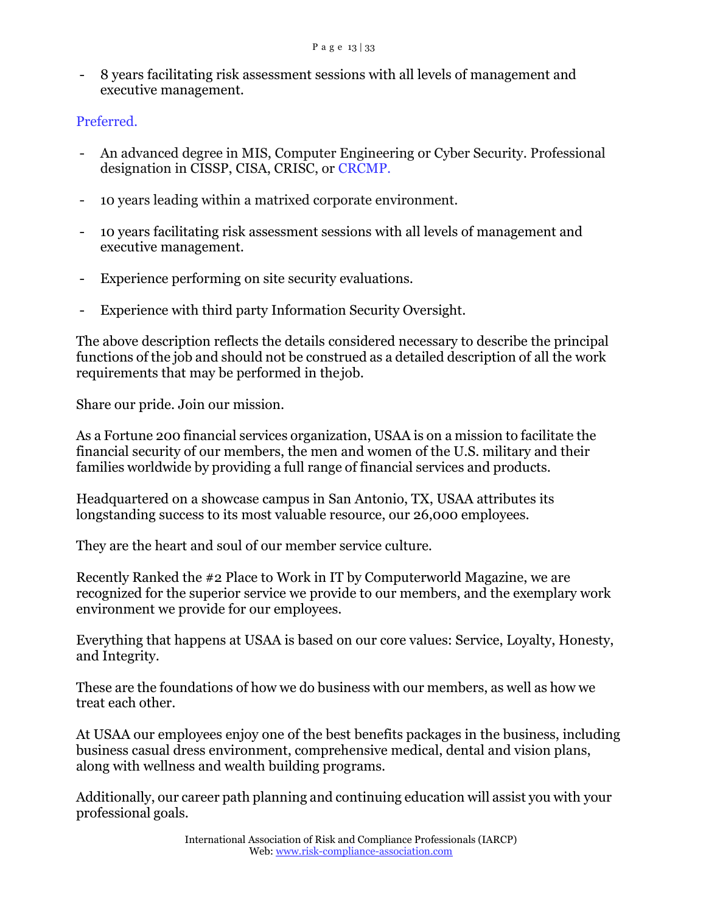- 8 years facilitating risk assessment sessions with all levels of management and executive management.

## Preferred.

- An advanced degree in MIS, Computer Engineering or Cyber Security. Professional designation in CISSP, CISA, CRISC, or CRCMP.
- 10 years leading within a matrixed corporate environment.
- 10 years facilitating risk assessment sessions with all levels of management and executive management.
- Experience performing on site security evaluations.
- Experience with third party Information Security Oversight.

The above description reflects the details considered necessary to describe the principal functions of the job and should not be construed as a detailed description of all the work requirements that may be performed in thejob.

Share our pride. Join our mission.

As a Fortune 200 financial services organization, USAA is on a mission to facilitate the financial security of our members, the men and women of the U.S. military and their families worldwide by providing a full range of financial services and products.

Headquartered on a showcase campus in San Antonio, TX, USAA attributes its longstanding success to its most valuable resource, our 26,000 employees.

They are the heart and soul of our member service culture.

Recently Ranked the #2 Place to Work in IT by Computerworld Magazine, we are recognized for the superior service we provide to our members, and the exemplary work environment we provide for our employees.

Everything that happens at USAA is based on our core values: Service, Loyalty, Honesty, and Integrity.

These are the foundations of how we do business with our members, as well as how we treat each other.

At USAA our employees enjoy one of the best benefits packages in the business, including business casual dress environment, comprehensive medical, dental and vision plans, along with wellness and wealth building programs.

Additionally, our career path planning and continuing education will assist you with your professional goals.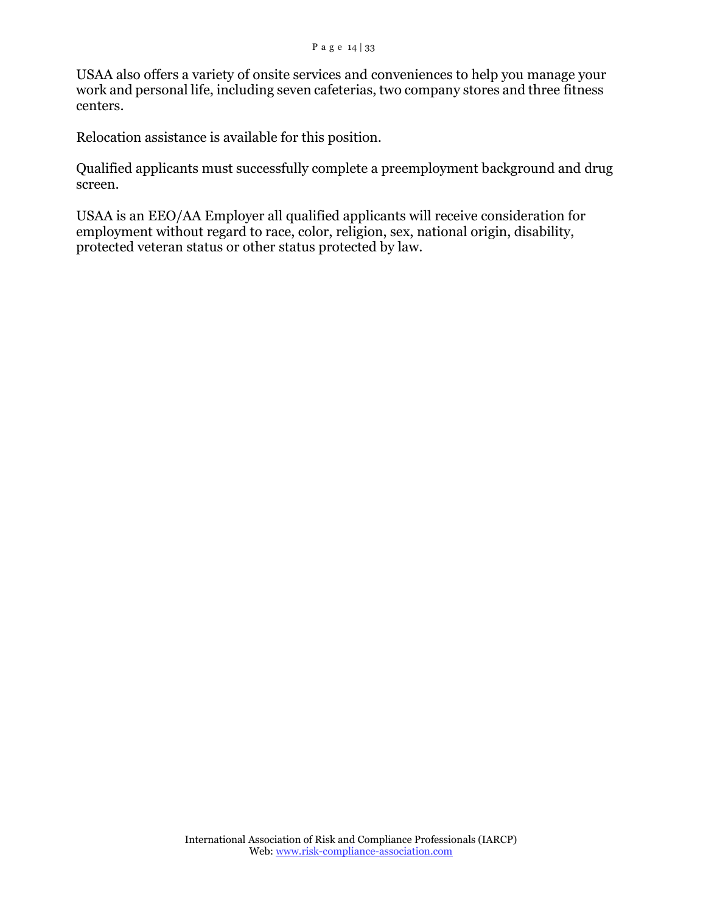USAA also offers a variety of onsite services and conveniences to help you manage your work and personal life, including seven cafeterias, two company stores and three fitness centers.

Relocation assistance is available for this position.

Qualified applicants must successfully complete a preemployment background and drug screen.

USAA is an EEO/AA Employer all qualified applicants will receive consideration for employment without regard to race, color, religion, sex, national origin, disability, protected veteran status or other status protected by law.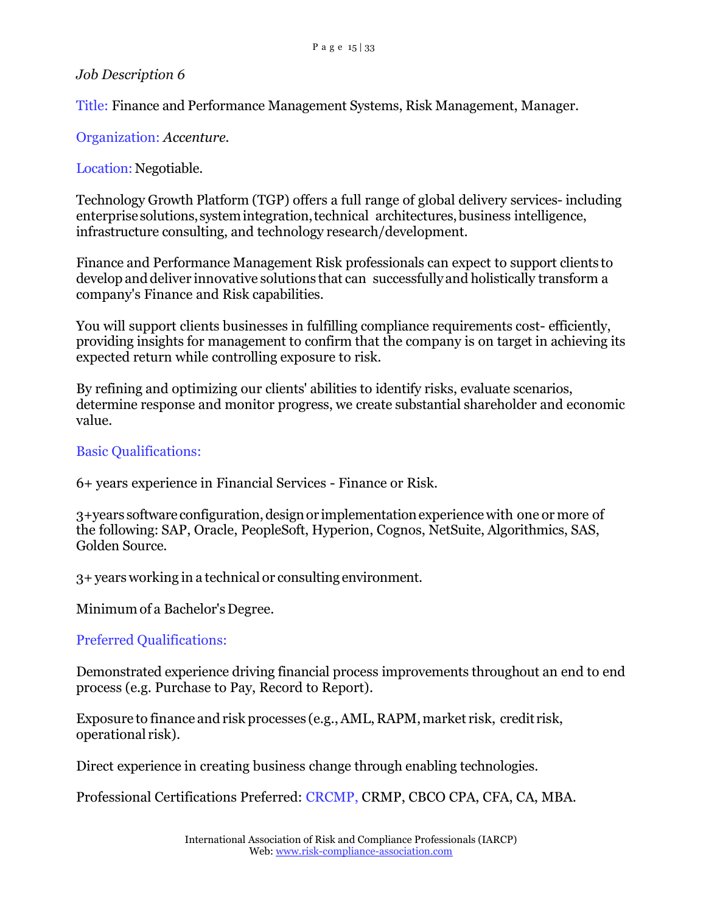Title: Finance and Performance Management Systems, Risk Management, Manager.

Organization: *Accenture.*

Location: Negotiable.

Technology Growth Platform (TGP) offers a full range of global delivery services- including enterprise solutions, system integration, technical architectures, business intelligence, infrastructure consulting, and technology research/development.

Finance and Performance Management Risk professionals can expect to support clients to develop and deliver innovative solutions that can successfully and holistically transform a company's Finance and Risk capabilities.

You will support clients businesses in fulfilling compliance requirements cost- efficiently, providing insights for management to confirm that the company is on target in achieving its expected return while controlling exposure to risk.

By refining and optimizing our clients' abilities to identify risks, evaluate scenarios, determine response and monitor progress, we create substantial shareholder and economic value.

#### Basic Qualifications:

6+ years experience in Financial Services - Finance or Risk.

3+years software configuration,designor implementationexperiencewith one or more of the following: SAP, Oracle, PeopleSoft, Hyperion, Cognos, NetSuite, Algorithmics, SAS, Golden Source.

3+years working in a technical or consulting environment.

Minimum of a Bachelor'sDegree.

Preferred Qualifications:

Demonstrated experience driving financial process improvements throughout an end to end process (e.g. Purchase to Pay, Record to Report).

Exposure to finance and risk processes (e.g., AML, RAPM, market risk, credit risk, operational risk).

Direct experience in creating business change through enabling technologies.

Professional Certifications Preferred: CRCMP, CRMP, CBCO CPA, CFA, CA, MBA.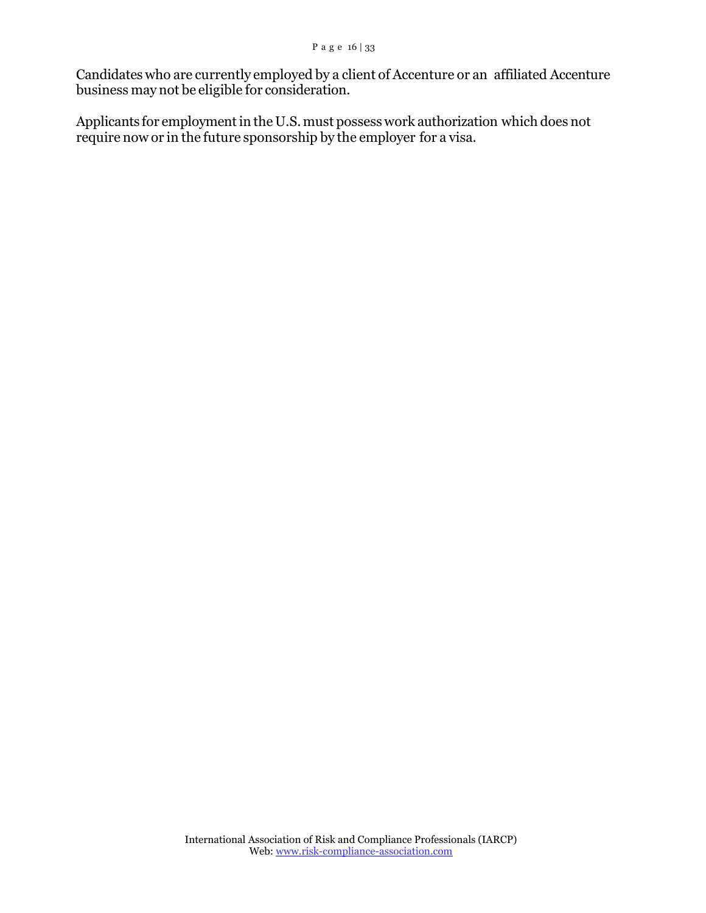Candidates who are currently employed by a client of Accenture or an affiliated Accenture business may not be eligible for consideration.

Applicants for employment in the U.S. must possess work authorization which does not require now or in the future sponsorship by the employer for a visa.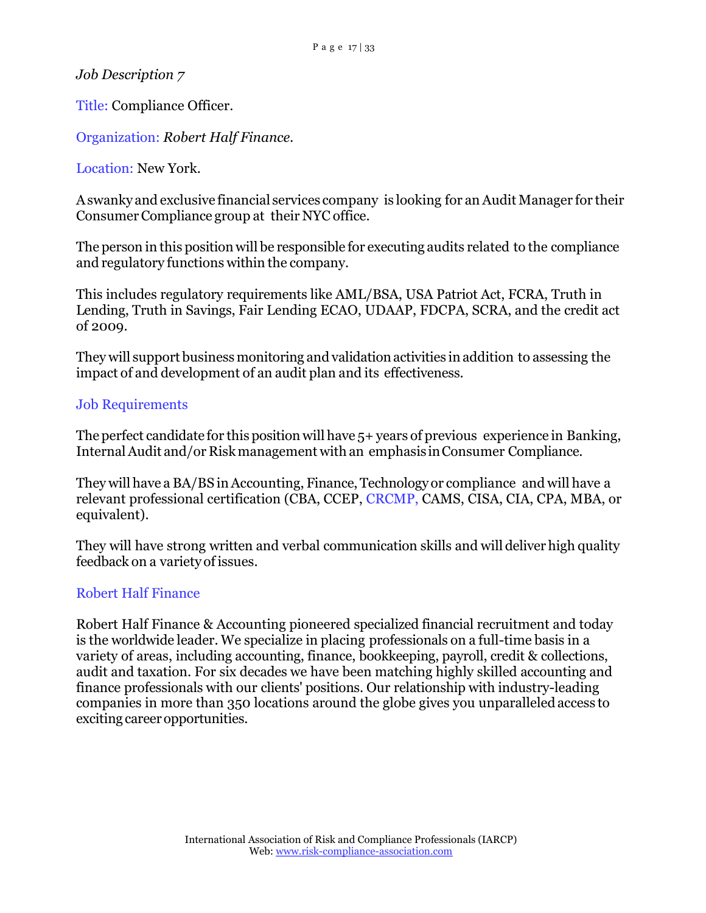Title: Compliance Officer.

Organization: *Robert Half Finance.*

Location: New York.

Aswanky and exclusive financial services company is looking for an Audit Manager for their Consumer Compliance group at their NYC office.

The person in this position will be responsible for executing audits related to the compliance and regulatory functions within the company.

This includes regulatory requirements like AML/BSA, USA Patriot Act, FCRA, Truth in Lending, Truth in Savings, Fair Lending ECAO, UDAAP, FDCPA, SCRA, and the credit act of 2009.

They will support business monitoring and validation activities in addition to assessing the impact of and development of an audit plan and its effectiveness.

#### Job Requirements

The perfect candidate for this position will have 5+ years of previous experience in Banking, Internal Audit and/or Risk management with an emphasis in Consumer Compliance.

They will have a BA/BS in Accounting, Finance, Technology or compliance and will have a relevant professional certification (CBA, CCEP, CRCMP, CAMS, CISA, CIA, CPA, MBA, or equivalent).

They will have strong written and verbal communication skills and will deliver high quality feedback on a variety of issues.

### Robert Half Finance

Robert Half Finance & Accounting pioneered specialized financial recruitment and today is the worldwide leader. We specialize in placing professionals on a full-time basis in a variety of areas, including accounting, finance, bookkeeping, payroll, credit & collections, audit and taxation. For six decades we have been matching highly skilled accounting and finance professionals with our clients' positions. Our relationship with industry-leading companies in more than 350 locations around the globe gives you unparalleledaccess to exciting career opportunities.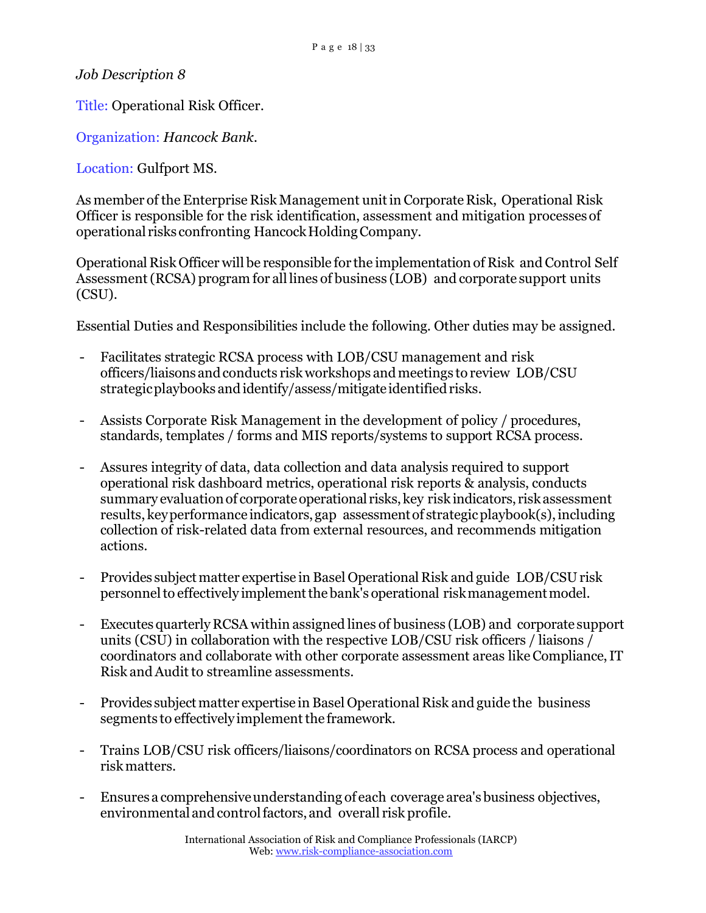Title: Operational Risk Officer.

Organization: *Hancock Bank.*

Location: Gulfport MS.

As member of the Enterprise Risk Management unitin Corporate Risk, Operational Risk Officer is responsible for the risk identification, assessment and mitigation processesof operational risks confronting HancockHoldingCompany.

Operational Risk Officer will be responsible for the implementation of Risk and Control Self Assessment(RCSA) program for all lines of business (LOB) and corporate support units (CSU).

Essential Duties and Responsibilities include the following. Other duties may be assigned.

- Facilitates strategic RCSA process with LOB/CSU management and risk officers/liaisons and conducts risk workshops and meetings to review LOB/CSU strategic playbooks and identify/assess/mitigate identified risks.
- Assists Corporate Risk Management in the development of policy / procedures, standards, templates / forms and MIS reports/systems to support RCSA process.
- Assures integrity of data, data collection and data analysis required to support operational risk dashboard metrics, operational risk reports & analysis, conducts summary evaluation of corporate operational risks, key risk indicators, risk assessment results, key performance indicators, gap assessment of strategic playbook(s), including collection of risk-related data from external resources, and recommends mitigation actions.
- Provides subject matter expertise in Basel Operational Risk and guide LOB/CSU risk personnel to effectively implement the bank's operational risk management model.
- Executes quarterly RCSA within assigned lines of business (LOB) and corporate support units (CSU) in collaboration with the respective LOB/CSU risk officers / liaisons / coordinators and collaborate with other corporate assessment areas like Compliance, IT Risk and Audit to streamline assessments.
- Provides subject matter expertise in Basel Operational Risk and guide the business segments to effectively implement the framework.
- Trains LOB/CSU risk officers/liaisons/coordinators on RCSA process and operational riskmatters.
- Ensures a comprehensive understanding of each coverage area's business objectives, environmentaland controlfactors, and overall risk profile.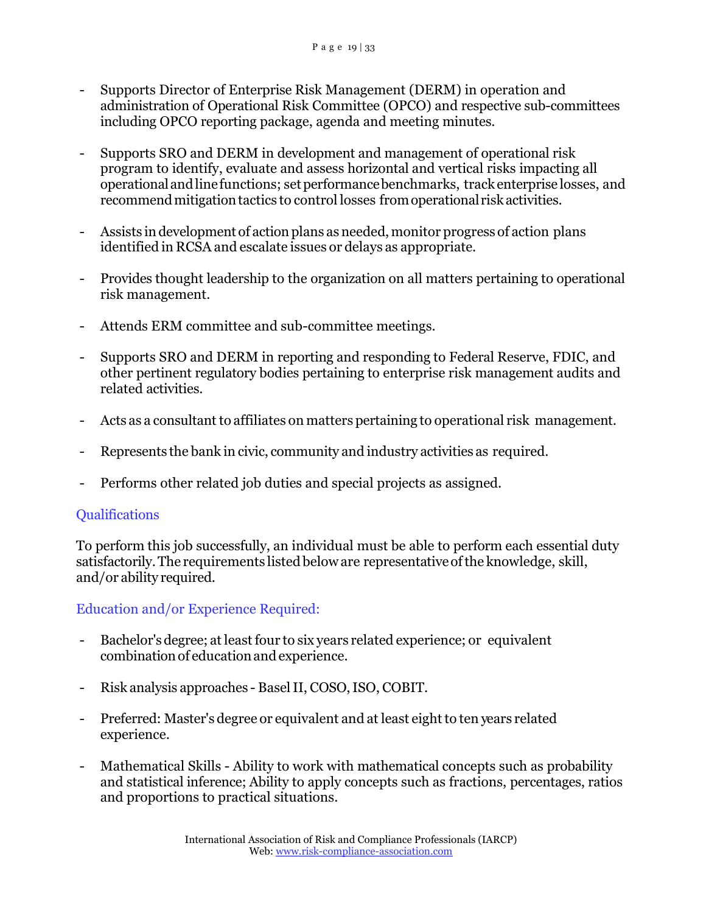- Supports Director of Enterprise Risk Management (DERM) in operation and administration of Operational Risk Committee (OPCO) and respective sub-committees including OPCO reporting package, agenda and meeting minutes.
- Supports SRO and DERM in development and management of operational risk program to identify, evaluate and assess horizontal and vertical risks impacting all operationalandlinefunctions; setperformancebenchmarks, track enterprise losses, and recommend mitigation tactics to control losses from operational risk activities.
- Assists in development of action plans as needed, monitor progress of action plans identified in RCSA and escalate issues or delays as appropriate.
- Provides thought leadership to the organization on all matters pertaining to operational risk management.
- Attends ERM committee and sub-committee meetings.
- Supports SRO and DERM in reporting and responding to Federal Reserve, FDIC, and other pertinent regulatory bodies pertaining to enterprise risk management audits and related activities.
- Acts as a consultant to affiliates on matters pertaining to operational risk management.
- Represents the bank in civic, community and industry activities as required.
- Performs other related job duties and special projects as assigned.

### Qualifications

To perform this job successfully, an individual must be able to perform each essential duty satisfactorily.The requirements listed beloware representativeofthe knowledge, skill, and/or ability required.

## Education and/or Experience Required:

- Bachelor's degree; at least four to six years related experience; or equivalent combination of education and experience.
- Risk analysis approaches Basel II, COSO, ISO, COBIT.
- Preferred: Master's degree or equivalent and at least eight to ten years related experience.
- Mathematical Skills Ability to work with mathematical concepts such as probability and statistical inference; Ability to apply concepts such as fractions, percentages, ratios and proportions to practical situations.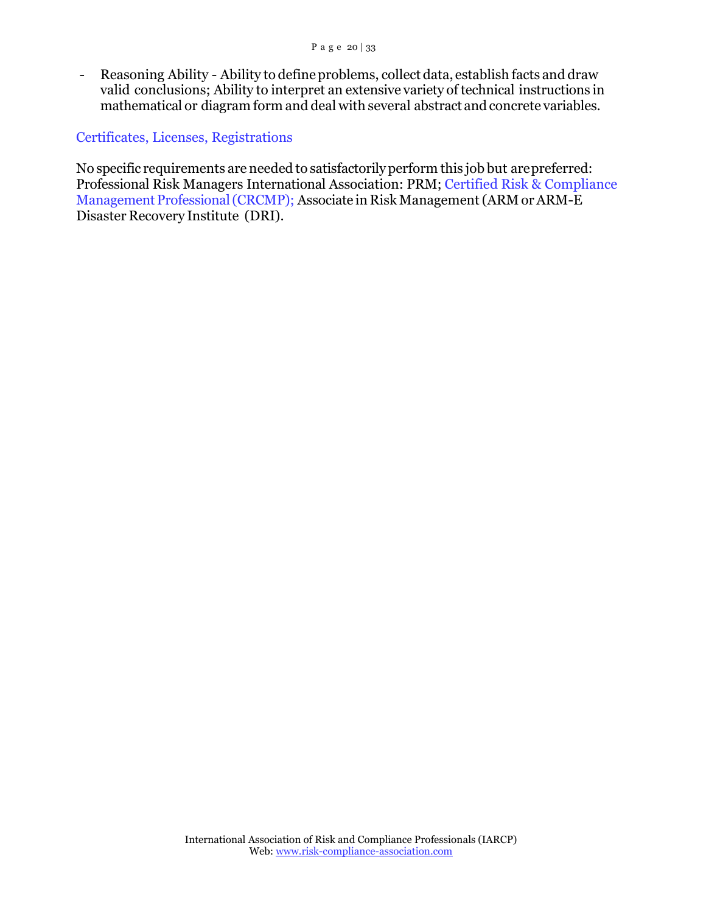- Reasoning Ability - Ability to defineproblems, collect data, establish facts and draw valid conclusions; Ability to interpret an extensive variety of technical instructions in mathematical or diagram form and deal with several abstract and concrete variables.

#### Certificates, Licenses, Registrations

No specific requirements are needed to satisfactorilyperform this job but arepreferred: Professional Risk Managers International Association: PRM; Certified Risk & Compliance Management Professional (CRCMP); Associate in Risk Management (ARM or ARM-E Disaster Recovery Institute (DRI).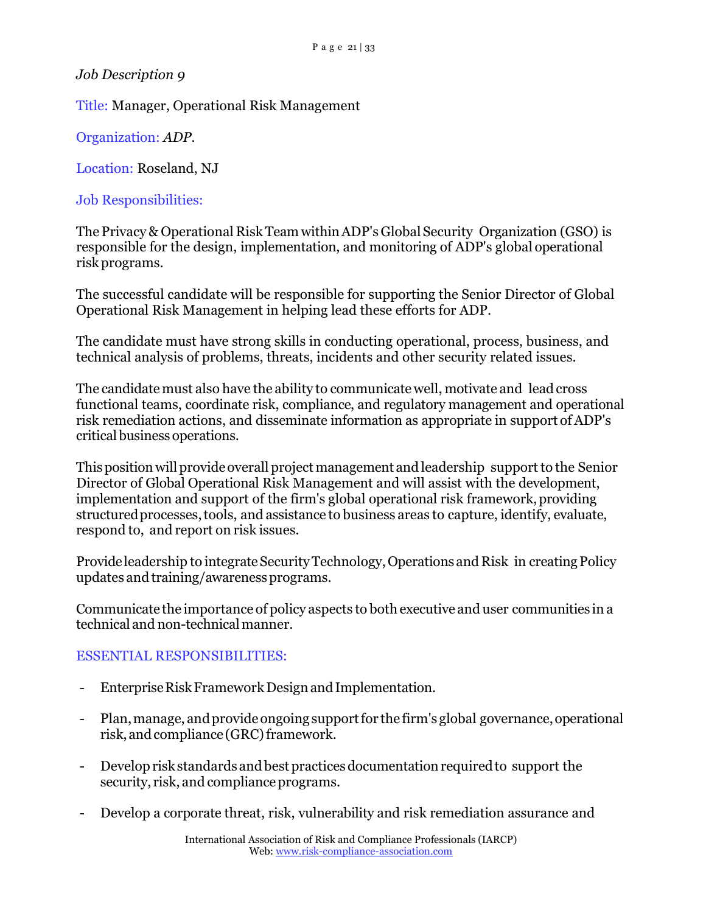Title: Manager, Operational Risk Management

Organization: *ADP.*

Location: Roseland, NJ

Job Responsibilities:

The Privacy & Operational Risk Team within ADP's Global Security Organization (GSO) is responsible for the design, implementation, and monitoring of ADP's global operational riskprograms.

The successful candidate will be responsible for supporting the Senior Director of Global Operational Risk Management in helping lead these efforts for ADP.

The candidate must have strong skills in conducting operational, process, business, and technical analysis of problems, threats, incidents and other security related issues.

The candidate must also have the ability to communicate well, motivate and lead cross functional teams, coordinate risk, compliance, and regulatory management and operational risk remediation actions, and disseminate information as appropriate in support of ADP's criticalbusiness operations.

This position will provide overall project management and leadership support to the Senior Director of Global Operational Risk Management and will assist with the development, implementation and support of the firm's global operational risk framework, providing structuredprocesses,tools, and assistance to business areas to capture, identify, evaluate, respond to, and report on risk issues.

Provide leadership to integrate Security Technology, Operations and Risk in creating Policy updates and training/awarenessprograms.

Communicate the importance of policy aspects to both executive and user communities in a technical and non-technicalmanner.

## ESSENTIAL RESPONSIBILITIES:

- Enterprise Risk Framework Design and Implementation.
- Plan, manage, and provide ongoing support for the firm's global governance, operational risk, and compliance (GRC) framework.
- Develop risk standards and best practices documentation required to support the security, risk, and compliance programs.
- Develop a corporate threat, risk, vulnerability and risk remediation assurance and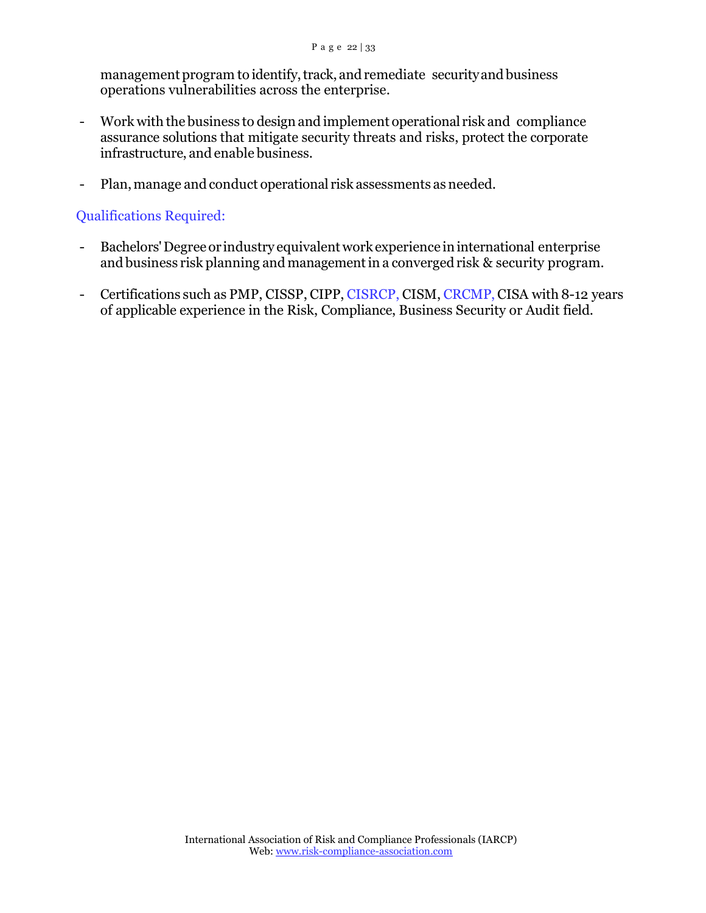management program to identify, track, and remediate security and business operations vulnerabilities across the enterprise.

- Work with the business to design and implement operational risk and compliance assurance solutions that mitigate security threats and risks, protect the corporate infrastructure, and enable business.
- Plan, manage and conduct operational risk assessments as needed.

#### Qualifications Required:

- Bachelors' Degree or industry equivalent work experience in international enterprise and business risk planning and managementin a converged risk & security program.
- Certifications such as PMP, CISSP, CIPP, CISRCP, CISM, CRCMP, CISA with 8-12 years of applicable experience in the Risk, Compliance, Business Security or Audit field.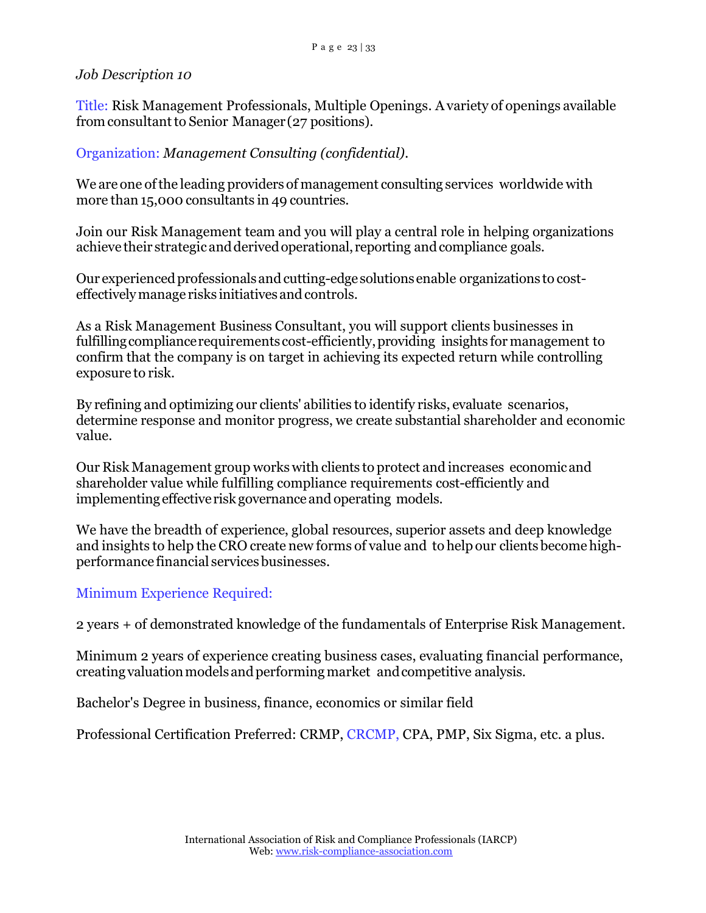Title: Risk Management Professionals, Multiple Openings. Avariety of openings available from consultant to Senior Manager (27 positions).

### Organization: *Management Consulting (confidential).*

We are one ofthe leading providers of management consulting services worldwide with more than 15,000 consultants in 49 countries.

Join our Risk Management team and you will play a central role in helping organizations achieve their strategic and derived operational, reporting and compliance goals.

Our experienced professionals and cutting-edge solutions enable organizations to costeffectivelymanage risks initiatives andcontrols.

As a Risk Management Business Consultant, you will support clients businesses in fulfillingcompliancerequirementscost-efficiently,providing insights for management to confirm that the company is on target in achieving its expected return while controlling exposure to risk.

By refining and optimizing our clients' abilities to identify risks, evaluate scenarios, determine response and monitor progress, we create substantial shareholder and economic value.

Our Risk Management group works with clients to protect and increases economicand shareholder value while fulfilling compliance requirements cost-efficiently and implementing effectiverisk governance and operating models.

We have the breadth of experience, global resources, superior assets and deep knowledge and insights to help the CRO create new forms of value and to helpour clientsbecomehighperformance financial servicesbusinesses.

### Minimum Experience Required:

2 years + of demonstrated knowledge of the fundamentals of Enterprise Risk Management.

Minimum 2 years of experience creating business cases, evaluating financial performance, creating valuation models and performing market and competitive analysis.

Bachelor's Degree in business, finance, economics or similar field

Professional Certification Preferred: CRMP, CRCMP, CPA, PMP, Six Sigma, etc. a plus.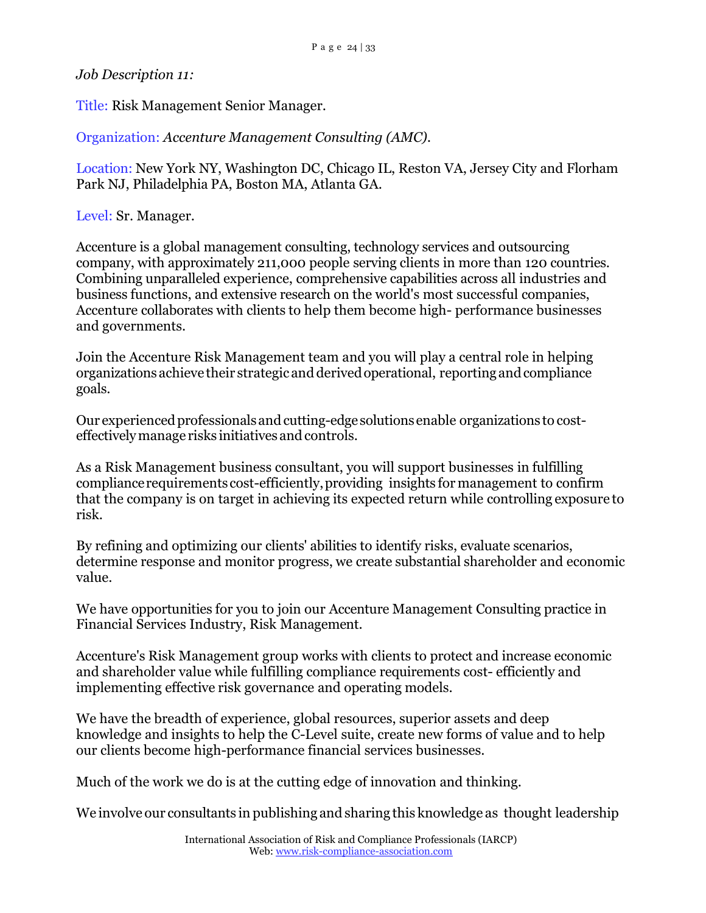*Job Description 11:*

Title: Risk Management Senior Manager.

Organization: *Accenture Management Consulting (AMC).*

Location: New York NY, Washington DC, Chicago IL, Reston VA, Jersey City and Florham Park NJ, Philadelphia PA, Boston MA, Atlanta GA.

Level: Sr. Manager.

Accenture is a global management consulting, technology services and outsourcing company, with approximately 211,000 people serving clients in more than 120 countries. Combining unparalleled experience, comprehensive capabilities across all industries and business functions, and extensive research on the world's most successful companies, Accenture collaborates with clients to help them become high- performance businesses and governments.

Join the Accenture Risk Management team and you will play a central role in helping organizations achieve their strategicand derivedoperational, reporting andcompliance goals.

Our experienced professionals and cutting-edge solutions enable organizations to costeffectively manage risks initiatives and controls.

As a Risk Management business consultant, you will support businesses in fulfilling compliancerequirementscost-efficiently,providing insights for management to confirm that the company is on target in achieving its expected return while controlling exposure to risk.

By refining and optimizing our clients' abilities to identify risks, evaluate scenarios, determine response and monitor progress, we create substantial shareholder and economic value.

We have opportunities for you to join our Accenture Management Consulting practice in Financial Services Industry, Risk Management.

Accenture's Risk Management group works with clients to protect and increase economic and shareholder value while fulfilling compliance requirements cost- efficiently and implementing effective risk governance and operating models.

We have the breadth of experience, global resources, superior assets and deep knowledge and insights to help the C-Level suite, create new forms of value and to help our clients become high-performance financial services businesses.

Much of the work we do is at the cutting edge of innovation and thinking.

We involve our consultants in publishing and sharing this knowledge as thought leadership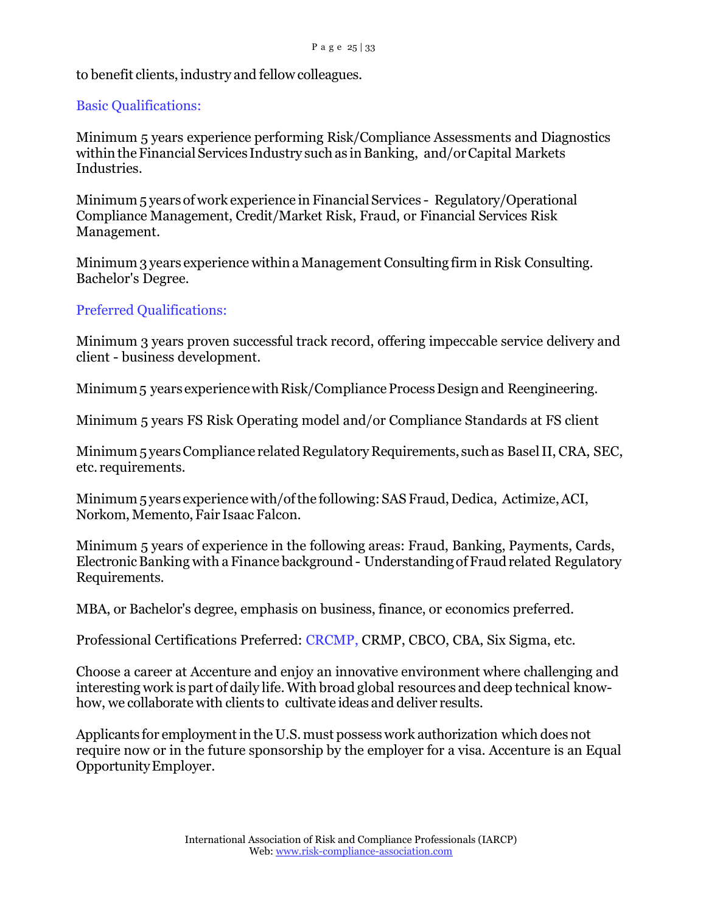## to benefit clients, industry and fellow colleagues.

## Basic Qualifications:

Minimum 5 years experience performing Risk/Compliance Assessments and Diagnostics within the Financial Services Industry such as in Banking, and/or Capital Markets Industries.

Minimum 5 years of work experience in Financial Services - Regulatory/Operational Compliance Management, Credit/Market Risk, Fraud, or Financial Services Risk Management.

Minimum 3 years experience within a Management Consulting firm in Risk Consulting. Bachelor's Degree.

## Preferred Qualifications:

Minimum 3 years proven successful track record, offering impeccable service delivery and client - business development.

Minimum<sub>5</sub> years experience with Risk/Compliance Process Design and Reengineering.

Minimum 5 years FS Risk Operating model and/or Compliance Standards at FS client

Minimum 5 years Compliance related Regulatory Requirements, such as Basel II, CRA, SEC, etc. requirements.

Minimum 5 years experience with/ofthe following:SAS Fraud, Dedica, Actimize,ACI, Norkom, Memento, Fair Isaac Falcon.

Minimum 5 years of experience in the following areas: Fraud, Banking, Payments, Cards, Electronic Banking with a Finance background - Understanding of Fraudrelated Regulatory Requirements.

MBA, or Bachelor's degree, emphasis on business, finance, or economics preferred.

Professional Certifications Preferred: CRCMP, CRMP, CBCO, CBA, Six Sigma, etc.

Choose a career at Accenture and enjoy an innovative environment where challenging and interesting work is part of daily life.With broad global resources and deep technical knowhow, we collaborate with clients to cultivate ideas and deliver results.

Applicants for employment in the U.S. must possess work authorization which does not require now or in the future sponsorship by the employer for a visa. Accenture is an Equal OpportunityEmployer.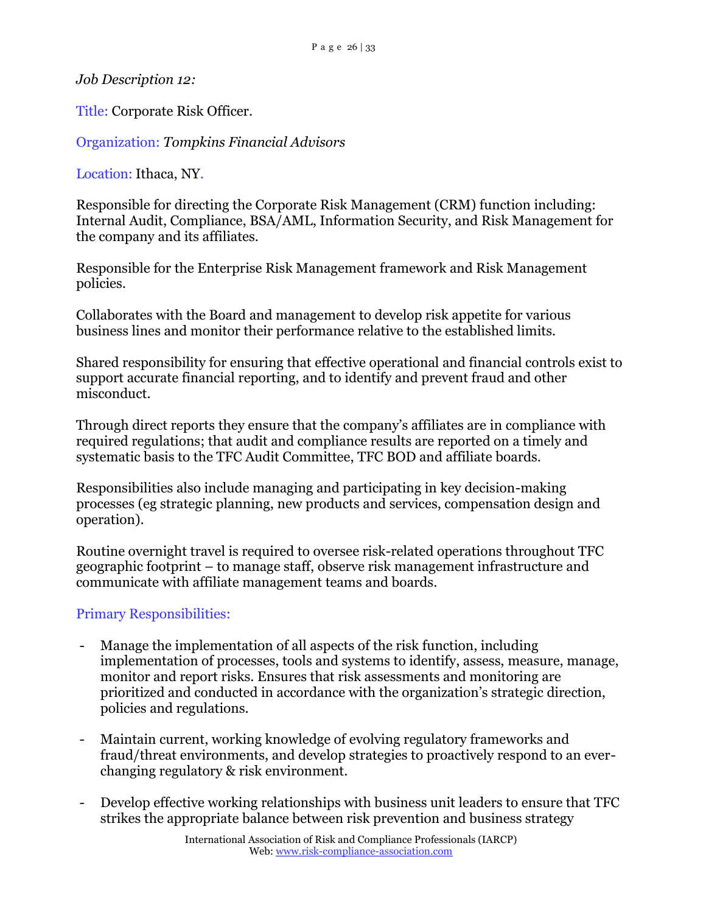*Job Description 12:*

Title: Corporate Risk Officer.

Organization: *Tompkins Financial Advisors*

Location: Ithaca, NY.

Responsible for directing the Corporate Risk Management (CRM) function including: Internal Audit, Compliance, BSA/AML, Information Security, and Risk Management for the company and its affiliates.

Responsible for the Enterprise Risk Management framework and Risk Management policies.

Collaborates with the Board and management to develop risk appetite for various business lines and monitor their performance relative to the established limits.

Shared responsibility for ensuring that effective operational and financial controls exist to support accurate financial reporting, and to identify and prevent fraud and other misconduct.

Through direct reports they ensure that the company's affiliates are in compliance with required regulations; that audit and compliance results are reported on a timely and systematic basis to the TFC Audit Committee, TFC BOD and affiliate boards.

Responsibilities also include managing and participating in key decision-making processes (eg strategic planning, new products and services, compensation design and operation).

Routine overnight travel is required to oversee risk-related operations throughout TFC geographic footprint – to manage staff, observe risk management infrastructure and communicate with affiliate management teams and boards.

## Primary Responsibilities:

- Manage the implementation of all aspects of the risk function, including implementation of processes, tools and systems to identify, assess, measure, manage, monitor and report risks. Ensures that risk assessments and monitoring are prioritized and conducted in accordance with the organization's strategic direction, policies and regulations.
- Maintain current, working knowledge of evolving regulatory frameworks and fraud/threat environments, and develop strategies to proactively respond to an everchanging regulatory & risk environment.
- Develop effective working relationships with business unit leaders to ensure that TFC strikes the appropriate balance between risk prevention and business strategy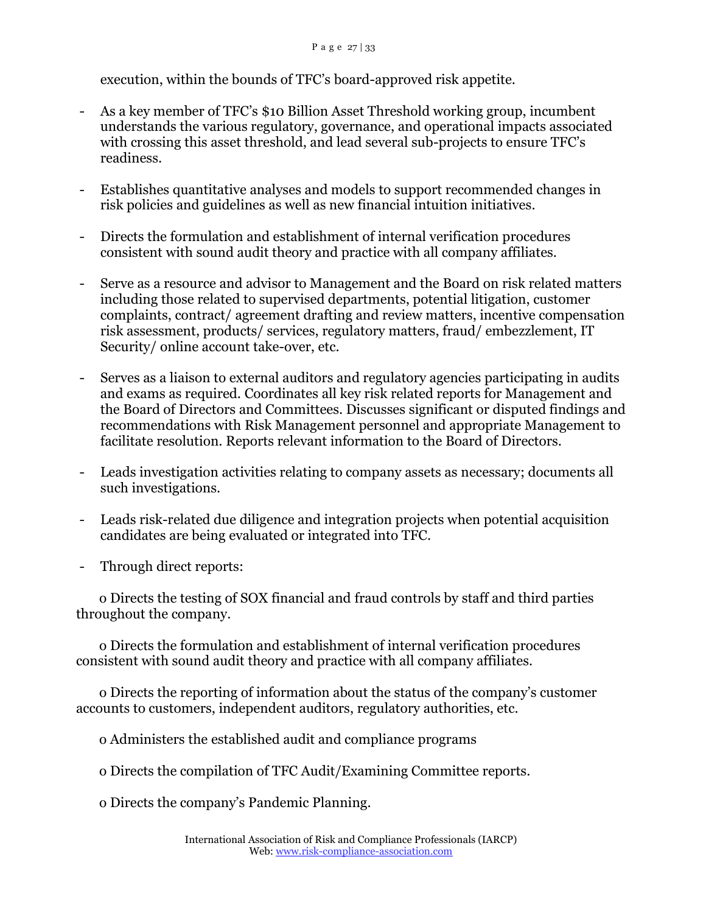#### P a g e 27 | 33

execution, within the bounds of TFC's board-approved risk appetite.

- As a key member of TFC's \$10 Billion Asset Threshold working group, incumbent understands the various regulatory, governance, and operational impacts associated with crossing this asset threshold, and lead several sub-projects to ensure TFC's readiness.
- Establishes quantitative analyses and models to support recommended changes in risk policies and guidelines as well as new financial intuition initiatives.
- Directs the formulation and establishment of internal verification procedures consistent with sound audit theory and practice with all company affiliates.
- Serve as a resource and advisor to Management and the Board on risk related matters including those related to supervised departments, potential litigation, customer complaints, contract/ agreement drafting and review matters, incentive compensation risk assessment, products/ services, regulatory matters, fraud/ embezzlement, IT Security/ online account take-over, etc.
- Serves as a liaison to external auditors and regulatory agencies participating in audits and exams as required. Coordinates all key risk related reports for Management and the Board of Directors and Committees. Discusses significant or disputed findings and recommendations with Risk Management personnel and appropriate Management to facilitate resolution. Reports relevant information to the Board of Directors.
- Leads investigation activities relating to company assets as necessary; documents all such investigations.
- Leads risk-related due diligence and integration projects when potential acquisition candidates are being evaluated or integrated into TFC.
- Through direct reports:

 o Directs the testing of SOX financial and fraud controls by staff and third parties throughout the company.

 o Directs the formulation and establishment of internal verification procedures consistent with sound audit theory and practice with all company affiliates.

 o Directs the reporting of information about the status of the company's customer accounts to customers, independent auditors, regulatory authorities, etc.

o Administers the established audit and compliance programs

o Directs the compilation of TFC Audit/Examining Committee reports.

o Directs the company's Pandemic Planning.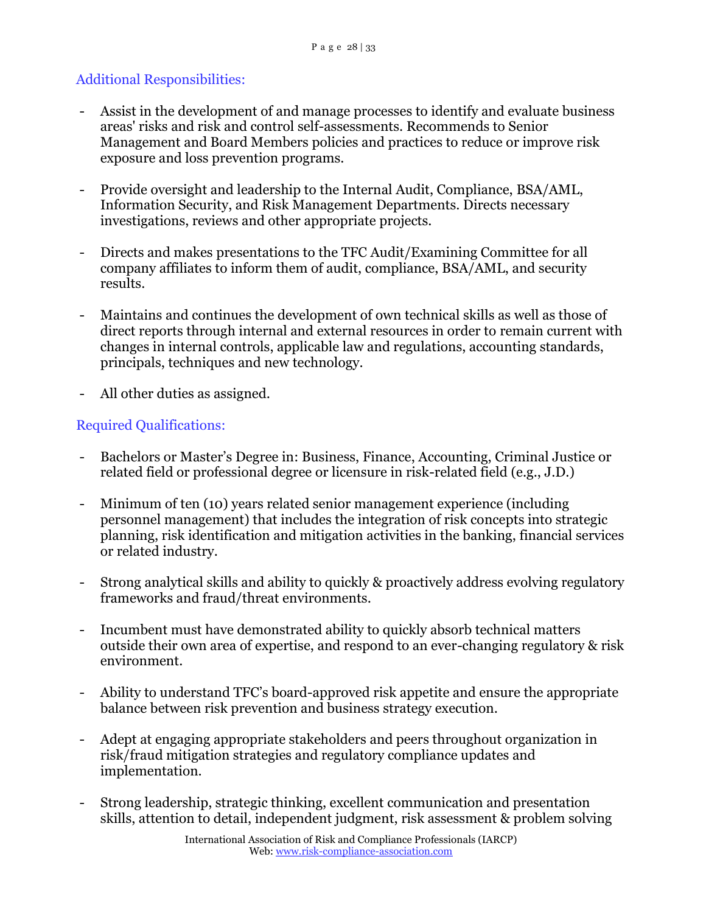## Additional Responsibilities:

- Assist in the development of and manage processes to identify and evaluate business areas' risks and risk and control self-assessments. Recommends to Senior Management and Board Members policies and practices to reduce or improve risk exposure and loss prevention programs.
- Provide oversight and leadership to the Internal Audit, Compliance, BSA/AML, Information Security, and Risk Management Departments. Directs necessary investigations, reviews and other appropriate projects.
- Directs and makes presentations to the TFC Audit/Examining Committee for all company affiliates to inform them of audit, compliance, BSA/AML, and security results.
- Maintains and continues the development of own technical skills as well as those of direct reports through internal and external resources in order to remain current with changes in internal controls, applicable law and regulations, accounting standards, principals, techniques and new technology.
- All other duties as assigned.

## Required Qualifications:

- Bachelors or Master's Degree in: Business, Finance, Accounting, Criminal Justice or related field or professional degree or licensure in risk-related field (e.g., J.D.)
- Minimum of ten (10) years related senior management experience (including personnel management) that includes the integration of risk concepts into strategic planning, risk identification and mitigation activities in the banking, financial services or related industry.
- Strong analytical skills and ability to quickly & proactively address evolving regulatory frameworks and fraud/threat environments.
- Incumbent must have demonstrated ability to quickly absorb technical matters outside their own area of expertise, and respond to an ever-changing regulatory & risk environment.
- Ability to understand TFC's board-approved risk appetite and ensure the appropriate balance between risk prevention and business strategy execution.
- Adept at engaging appropriate stakeholders and peers throughout organization in risk/fraud mitigation strategies and regulatory compliance updates and implementation.
- Strong leadership, strategic thinking, excellent communication and presentation skills, attention to detail, independent judgment, risk assessment & problem solving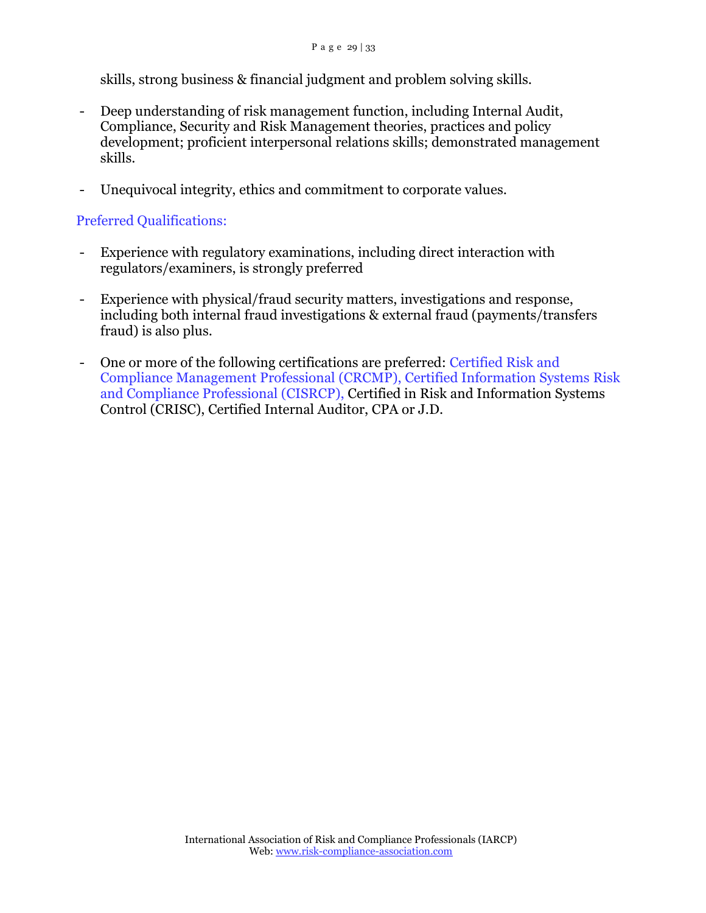skills, strong business & financial judgment and problem solving skills.

- Deep understanding of risk management function, including Internal Audit, Compliance, Security and Risk Management theories, practices and policy development; proficient interpersonal relations skills; demonstrated management skills.
- Unequivocal integrity, ethics and commitment to corporate values.

### Preferred Qualifications:

- Experience with regulatory examinations, including direct interaction with regulators/examiners, is strongly preferred
- Experience with physical/fraud security matters, investigations and response, including both internal fraud investigations & external fraud (payments/transfers fraud) is also plus.
- One or more of the following certifications are preferred: Certified Risk and Compliance Management Professional (CRCMP), Certified Information Systems Risk and Compliance Professional (CISRCP), Certified in Risk and Information Systems Control (CRISC), Certified Internal Auditor, CPA or J.D.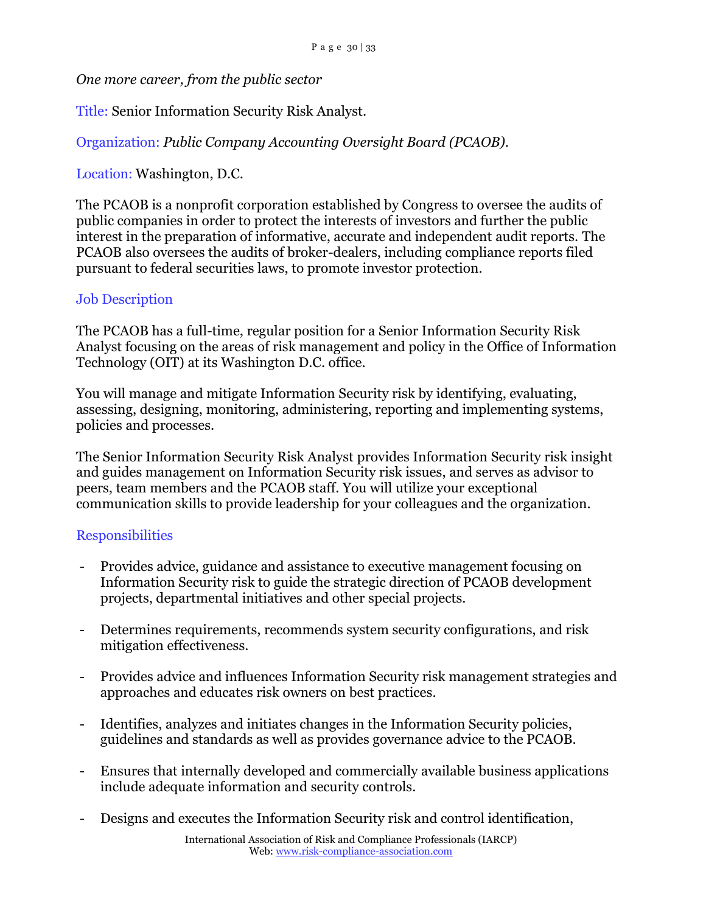*One more career, from the public sector*

Title: Senior Information Security Risk Analyst.

Organization: *Public Company Accounting Oversight Board (PCAOB).*

Location: Washington, D.C.

The PCAOB is a nonprofit corporation established by Congress to oversee the audits of public companies in order to protect the interests of investors and further the public interest in the preparation of informative, accurate and independent audit reports. The PCAOB also oversees the audits of broker-dealers, including compliance reports filed pursuant to federal securities laws, to promote investor protection.

## Job Description

The PCAOB has a full-time, regular position for a Senior Information Security Risk Analyst focusing on the areas of risk management and policy in the Office of Information Technology (OIT) at its Washington D.C. office.

You will manage and mitigate Information Security risk by identifying, evaluating, assessing, designing, monitoring, administering, reporting and implementing systems, policies and processes.

The Senior Information Security Risk Analyst provides Information Security risk insight and guides management on Information Security risk issues, and serves as advisor to peers, team members and the PCAOB staff. You will utilize your exceptional communication skills to provide leadership for your colleagues and the organization.

### Responsibilities

- Provides advice, guidance and assistance to executive management focusing on Information Security risk to guide the strategic direction of PCAOB development projects, departmental initiatives and other special projects.
- Determines requirements, recommends system security configurations, and risk mitigation effectiveness.
- Provides advice and influences Information Security risk management strategies and approaches and educates risk owners on best practices.
- Identifies, analyzes and initiates changes in the Information Security policies, guidelines and standards as well as provides governance advice to the PCAOB.
- Ensures that internally developed and commercially available business applications include adequate information and security controls.
- Designs and executes the Information Security risk and control identification,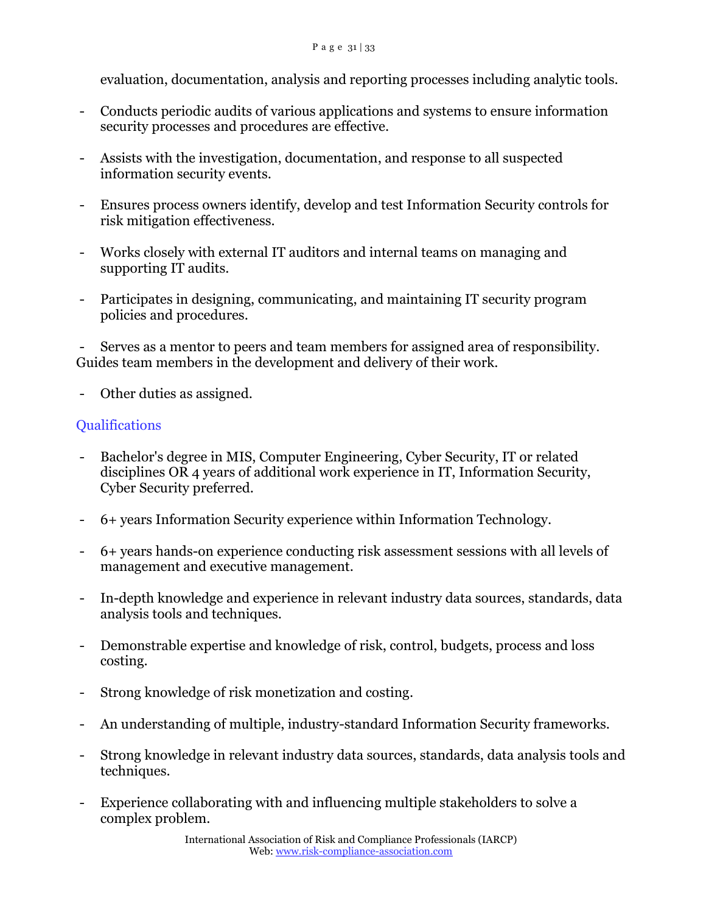evaluation, documentation, analysis and reporting processes including analytic tools.

- Conducts periodic audits of various applications and systems to ensure information security processes and procedures are effective.
- Assists with the investigation, documentation, and response to all suspected information security events.
- Ensures process owners identify, develop and test Information Security controls for risk mitigation effectiveness.
- Works closely with external IT auditors and internal teams on managing and supporting IT audits.
- Participates in designing, communicating, and maintaining IT security program policies and procedures.

Serves as a mentor to peers and team members for assigned area of responsibility. Guides team members in the development and delivery of their work.

- Other duties as assigned.

## **Oualifications**

- Bachelor's degree in MIS, Computer Engineering, Cyber Security, IT or related disciplines OR 4 years of additional work experience in IT, Information Security, Cyber Security preferred.
- 6+ years Information Security experience within Information Technology.
- 6+ years hands-on experience conducting risk assessment sessions with all levels of management and executive management.
- In-depth knowledge and experience in relevant industry data sources, standards, data analysis tools and techniques.
- Demonstrable expertise and knowledge of risk, control, budgets, process and loss costing.
- Strong knowledge of risk monetization and costing.
- An understanding of multiple, industry-standard Information Security frameworks.
- Strong knowledge in relevant industry data sources, standards, data analysis tools and techniques.
- Experience collaborating with and influencing multiple stakeholders to solve a complex problem.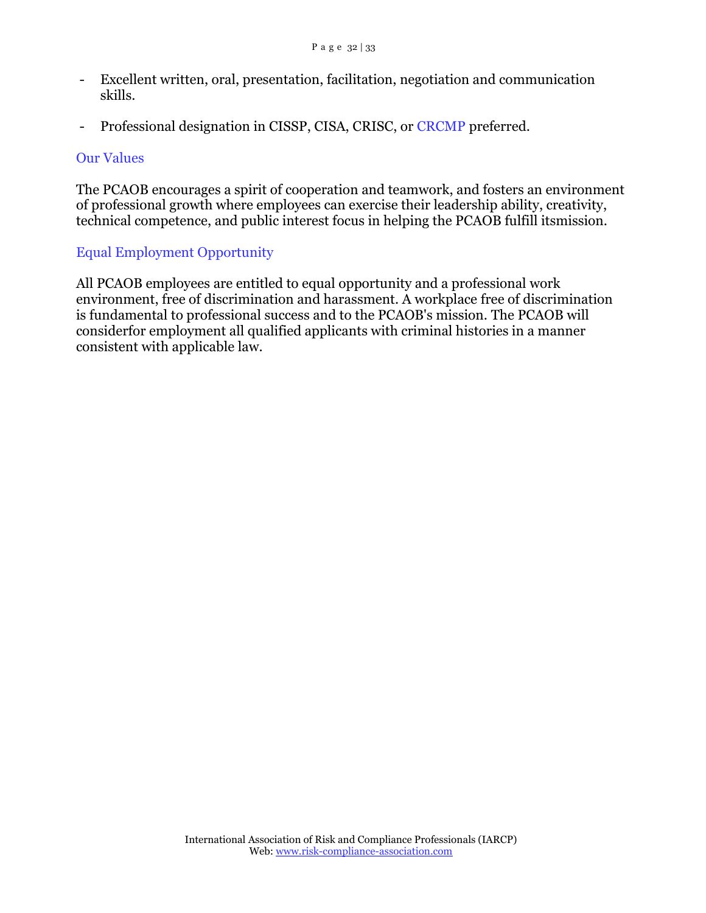- Excellent written, oral, presentation, facilitation, negotiation and communication skills.
- Professional designation in CISSP, CISA, CRISC, or CRCMP preferred.

### Our Values

The PCAOB encourages a spirit of cooperation and teamwork, and fosters an environment of professional growth where employees can exercise their leadership ability, creativity, technical competence, and public interest focus in helping the PCAOB fulfill itsmission.

## Equal Employment Opportunity

All PCAOB employees are entitled to equal opportunity and a professional work environment, free of discrimination and harassment. A workplace free of discrimination is fundamental to professional success and to the PCAOB's mission. The PCAOB will considerfor employment all qualified applicants with criminal histories in a manner consistent with applicable law.